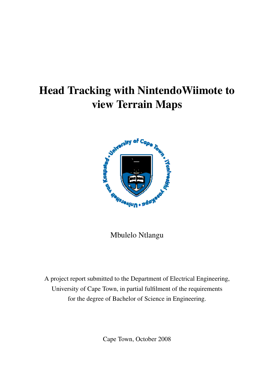# Head Tracking with NintendoWiimote to view Terrain Maps



Mbulelo Ntlangu

A project report submitted to the Department of Electrical Engineering, University of Cape Town, in partial fulfilment of the requirements for the degree of Bachelor of Science in Engineering.

Cape Town, October 2008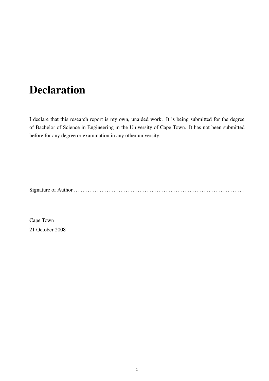# Declaration

<span id="page-1-0"></span>I declare that this research report is my own, unaided work. It is being submitted for the degree of Bachelor of Science in Engineering in the University of Cape Town. It has not been submitted before for any degree or examination in any other university.

Signature of Author . . . . . . . . . . . . . . . . . . . . . . . . . . . . . . . . . . . . . . . . . . . . . . . . . . . . . . . . . . . . . . . . . . . . . . . .

Cape Town 21 October 2008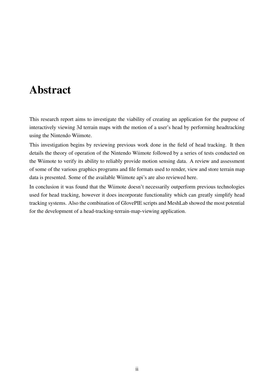# Abstract

<span id="page-2-0"></span>This research report aims to investigate the viability of creating an application for the purpose of interactively viewing 3d terrain maps with the motion of a user's head by performing headtracking using the Nintendo Wiimote.

This investigation begins by reviewing previous work done in the field of head tracking. It then details the theory of operation of the Nintendo Wiimote followed by a series of tests conducted on the Wiimote to verify its ability to reliably provide motion sensing data. A review and assessment of some of the various graphics programs and file formats used to render, view and store terrain map data is presented. Some of the available Wiimote api's are also reviewed here.

In conclusion it was found that the Wiimote doesn't necessarily outperform previous technologies used for head tracking, however it does incorporate functionality which can greatly simplify head tracking systems. Also the combination of GlovePIE scripts and MeshLab showed the most potential for the development of a head-tracking-terrain-map-viewing application.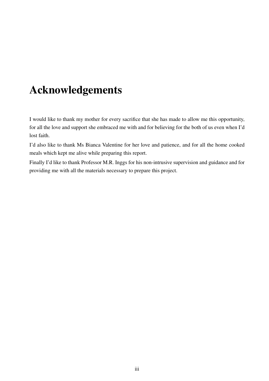# Acknowledgements

<span id="page-3-0"></span>I would like to thank my mother for every sacrifice that she has made to allow me this opportunity, for all the love and support she embraced me with and for believing for the both of us even when I'd lost faith.

I'd also like to thank Ms Bianca Valentine for her love and patience, and for all the home cooked meals which kept me alive while preparing this report.

Finally I'd like to thank Professor M.R. Inggs for his non-intrusive supervision and guidance and for providing me with all the materials necessary to prepare this project.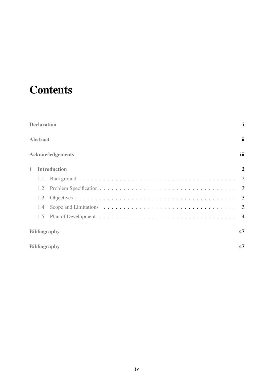# **Contents**

|   | <b>Declaration</b> |                         | $\mathbf{i}$   |
|---|--------------------|-------------------------|----------------|
|   | <b>Abstract</b>    |                         | <i>ii</i>      |
|   |                    | <b>Acknowledgements</b> | iii            |
| 1 |                    | <b>Introduction</b>     | $\overline{2}$ |
|   | 1.1                |                         |                |
|   | 1.2                |                         |                |
|   | 1.3                |                         |                |
|   | 1.4                |                         |                |
|   | 1.5                |                         | $\overline{4}$ |
|   |                    | <b>Bibliography</b>     | 47             |
|   |                    | <b>Bibliography</b>     | 47             |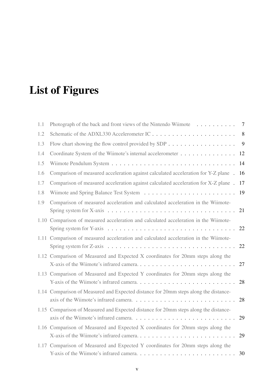# List of Figures

| 1.1  | Photograph of the back and front views of the Nintendo Wiimote                                                                                                                        | $\overline{7}$ |
|------|---------------------------------------------------------------------------------------------------------------------------------------------------------------------------------------|----------------|
| 1.2  |                                                                                                                                                                                       | 8              |
| 1.3  | Flow chart showing the flow control provided by SDP $\ldots$ , , , ,                                                                                                                  | 9              |
| 1.4  | Coordinate System of the Wiimote's internal accelerometer                                                                                                                             | 12             |
| 1.5  |                                                                                                                                                                                       | 14             |
| 1.6  | Comparison of measured acceleration against calculated acceleration for Y-Z plane .                                                                                                   | 16             |
| 1.7  | Comparison of measured acceleration against calculated acceleration for X-Z plane.                                                                                                    | 17             |
| 1.8  |                                                                                                                                                                                       | 19             |
| 1.9  | Comparison of measured acceleration and calculated acceleration in the Wiimote-<br>Spring system for X-axis $\dots \dots \dots \dots \dots \dots \dots \dots \dots \dots \dots \dots$ | 21             |
|      | 1.10 Comparison of measured acceleration and calculated acceleration in the Wiimote-                                                                                                  |                |
| 1.11 | Comparison of measured acceleration and calculated acceleration in the Wiimote-<br>Spring system for Z-axis $\dots \dots \dots \dots \dots \dots \dots \dots \dots \dots \dots$       | 22             |
|      | 1.12 Comparison of Measured and Expected X coordinates for 20mm steps along the                                                                                                       | 27             |
|      | 1.13 Comparison of Measured and Expected Y coordinates for 20mm steps along the                                                                                                       | 28             |
|      | 1.14 Comparison of Measured and Expected distance for 20mm steps along the distance-                                                                                                  | 28             |
|      | 1.15 Comparison of Measured and Expected distance for 20mm steps along the distance-                                                                                                  | 29             |
|      | 1.16 Comparison of Measured and Expected X coordinates for 20mm steps along the                                                                                                       | 29             |
|      | 1.17 Comparison of Measured and Expected Y coordinates for 20mm steps along the                                                                                                       | 30             |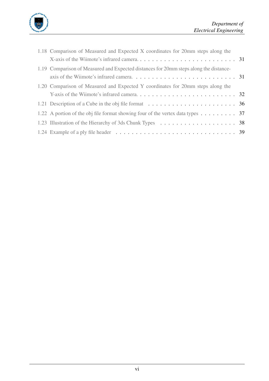

| 1.18 Comparison of Measured and Expected X coordinates for 20mm steps along the                                                                                                                      |  |
|------------------------------------------------------------------------------------------------------------------------------------------------------------------------------------------------------|--|
|                                                                                                                                                                                                      |  |
| 1.19 Comparison of Measured and Expected distances for 20mm steps along the distance-<br>axis of the Wiimote's infrared camera. $\ldots$ . $\ldots$ . $\ldots$ . $\ldots$ . $\ldots$ . $\ldots$ . 31 |  |
| 1.20 Comparison of Measured and Expected Y coordinates for 20mm steps along the                                                                                                                      |  |
|                                                                                                                                                                                                      |  |
| 1.21 Description of a Cube in the obj file format $\ldots \ldots \ldots \ldots \ldots \ldots \ldots \ldots$ 36                                                                                       |  |
| 1.22 A portion of the obj file format showing four of the vertex data types $\dots \dots$ 37                                                                                                         |  |
|                                                                                                                                                                                                      |  |
| 1.24 Example of a ply file header $\ldots \ldots \ldots \ldots \ldots \ldots \ldots \ldots \ldots \ldots \ldots$ 39                                                                                  |  |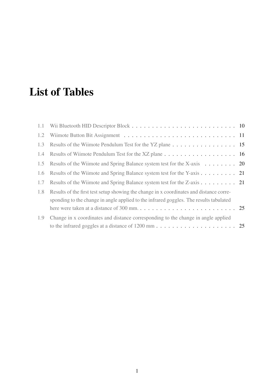# List of Tables

| 1.2 |                                                                                                                                                                                                                                                                                                          |  |
|-----|----------------------------------------------------------------------------------------------------------------------------------------------------------------------------------------------------------------------------------------------------------------------------------------------------------|--|
| 1.3 | Results of the Wiimote Pendulum Test for the YZ plane 15                                                                                                                                                                                                                                                 |  |
| 1.4 | Results of Wiimote Pendulum Test for the XZ plane 16                                                                                                                                                                                                                                                     |  |
| 1.5 | Results of the Wiimote and Spring Balance system test for the X-axis 20                                                                                                                                                                                                                                  |  |
| 1.6 | Results of the Wiimote and Spring Balance system test for the Y-axis 21                                                                                                                                                                                                                                  |  |
| 1.7 | Results of the Wiimote and Spring Balance system test for the Z-axis 21                                                                                                                                                                                                                                  |  |
| 1.8 | Results of the first test setup showing the change in x coordinates and distance corre-<br>sponding to the change in angle applied to the infrared goggles. The results tabulated<br>here were taken at a distance of 300 mm. $\ldots \ldots \ldots \ldots \ldots \ldots \ldots \ldots \ldots \ldots$ 25 |  |
| 1.9 | Change in x coordinates and distance corresponding to the change in angle applied                                                                                                                                                                                                                        |  |
|     |                                                                                                                                                                                                                                                                                                          |  |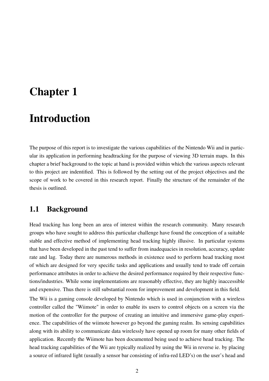# <span id="page-8-0"></span>Chapter 1

## Introduction

The purpose of this report is to investigate the various capabilities of the Nintendo Wii and in particular its application in performing headtracking for the purpose of viewing 3D terrain maps. In this chapter a brief background to the topic at hand is provided within which the various aspects relevant to this project are indentified. This is followed by the setting out of the project objectives and the scope of work to be covered in this research report. Finally the structure of the remainder of the thesis is outlined.

#### <span id="page-8-1"></span>1.1 Background

Head tracking has long been an area of interest within the research community. Many research groups who have sought to address this particular challenge have found the conception of a suitable stable and effective method of implementing head tracking highly illusive. In particular systems that have been developed in the past tend to suffer from inadequacies in resolution, accuracy, update rate and lag. Today there are numerous methods in existence used to perform head tracking most of which are designed for very specific tasks and applications and usually tend to trade off certain performance attributes in order to achieve the desired performance required by their respective functions/industries. While some implementations are reasonably effective, they are highly inaccessible and expensive. Thus there is still substantial room for improvement and development in this field.

The Wii is a gaming console developed by Nintendo which is used in conjunction with a wireless controller called the "Wiimote" in order to enable its users to control objects on a screen via the motion of the controller for the purpose of creating an intuitive and immersive game-play experience. The capabilities of the wiimote however go beyond the gaming realm. Its sensing capabilities along with its ability to communicate data wirelessly have opened up room for many other fields of application. Recently the Wiimote has been documented being used to achieve head tracking. The head tracking capabilities of the Wii are typically realized by using the Wii in reverse ie. by placing a source of infrared light (usually a sensor bar consisting of infra-red LED's) on the user's head and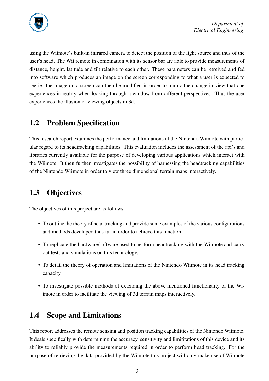

using the Wiimote's built-in infrared camera to detect the position of the light source and thus of the user's head. The Wii remote in combination with its sensor bar are able to provide measurements of distance, height, latitude and tilt relative to each other. These parameters can be retreived and fed into software which produces an image on the screen corresponding to what a user is expected to see ie. the image on a screen can then be modified in order to mimic the change in view that one experiences in reality when looking through a window from different perspectives. Thus the user experiences the illusion of viewing objects in 3d.

### <span id="page-9-0"></span>1.2 Problem Specification

This research report examines the performance and limitations of the Nintendo Wiimote with particular regard to its headtracking capabilities. This evaluation includes the assessment of the api's and libraries currently available for the purpose of developing various applications which interact with the Wiimote. It then further investigates the possibility of harnessing the headtracking capabilities of the Nintendo Wiimote in order to view three dimensional terrain maps interactively.

## <span id="page-9-1"></span>1.3 Objectives

The objectives of this project are as follows:

- To outline the theory of head tracking and provide some examples of the various configurations and methods developed thus far in order to achieve this function.
- To replicate the hardware/software used to perform headtracking with the Wiimote and carry out tests and simulations on this technology.
- To detail the theory of operation and limitations of the Nintendo Wiimote in its head tracking capacity.
- To investigate possible methods of extending the above mentioned functionality of the Wiimote in order to facilitate the viewing of 3d terrain maps interactively.

### <span id="page-9-2"></span>1.4 Scope and Limitations

This report addresses the remote sensing and position tracking capabilities of the Nintendo Wiimote. It deals specifically with determining the accuracy, sensitivity and limititations of this device and its ability to reliably provide the measurements required in order to perform head tracking. For the purpose of retrieving the data provided by the Wiimote this project will only make use of Wiimote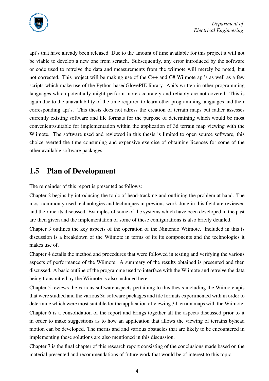

api's that have already been released. Due to the amount of time available for this project it will not be viable to develop a new one from scratch. Subsequently, any error introduced by the software or code used to retreive the data and measurements from the wiimote will merely be noted, but not corrected. This project will be making use of the  $C_{++}$  and  $C_{+}$  Wiimote api's as well as a few scripts which make use of the Python basedGlovePIE library. Api's written in other programming languages which potentially might perform more accurately and reliably are not covered. This is again due to the unavailability of the time required to learn other programming languages and their corresponding api's. This thesis does not adress the creation of terrain maps but rather assesses currently existing software and file formats for the purpose of determining which would be most convenient/suitable for implementation within the application of 3d terrain map viewing with the Wiimote. The software used and reviewed in this thesis is limited to open source software, this choice averted the time consuming and expensive exercise of obtaining licences for some of the other available software packages.

### <span id="page-10-0"></span>1.5 Plan of Development

The remainder of this report is presented as follows:

Chapter 2 begins by introducing the topic of head-tracking and outlining the problem at hand. The most commonly used technologies and techniques in previous work done in this field are reviewed and their merits discussed. Examples of some of the systems which have been developed in the past are then given and the implementation of some of these configurations is also briefly detailed.

Chapter 3 outlines the key aspects of the operation of the Nintendo Wiimote. Included in this is discussion is a breakdown of the Wiimote in terms of its its components and the technologies it makes use of.

Chapter 4 details the method and procedures that were followed in testing and verifying the various aspects of performance of the Wiimote. A summary of the results obtained is presented and then discussed. A basic outline of the programme used to interface with the Wiimote and retreive the data being transmitted by the Wiimote is also included here.

Chapter 5 reviews the various software aspects pertaining to this thesis including the Wiimote apis that were studied and the various 3d software packages and file formats experimented with in order to determine which were most suitable for the application of viewing 3d terrain maps with the Wiimote.

Chapter 6 is a consolidation of the report and brings together all the aspects discussed prior to it in order to make suggestions as to how an application that allows the viewing of terrains byhead motion can be developed. The merits and and various obstacles that are likely to be encountered in implementing these solutions are also mentioned in this discussion.

Chapter 7 is the final chapter of this research report consisting of the conclusions made based on the material presented and recommendations of future work that would be of interest to this topic.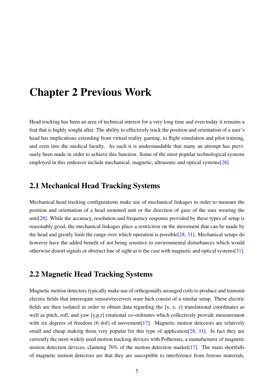# Chapter 2 Previous Work

Head tracking has been an area of technical interest for a very long time and even today it remains a feat that is highly sought after. The ability to effectively track the position and orientation of a user's head has implications extending from virtual reality gaming, to flight simulation and pilot training, and even into the medical faculty. As such it is understandable that many an attempt has previously been made in order to achieve this function. Some of the most popular technological systems employed in this endeavor include mechanical, magnetic, ultrasonic and optical systems[\[28\]](#page-54-0).

#### 2.1 Mechanical Head Tracking Systems

Mechanical head tracking configurations make use of mechanical linkages in order to measure the position and orientation of a head mounted unit or the direction of gaze of the user wearing the unit  $[28]$ . While the accuracy, resolution and frequency response provided by these types of setup is reasonably good, the mechanical linkages place a restriction on the movement that can be made by the head and greatly limit the range over which operation is possible[\[28,](#page-54-0) [31\]](#page-55-0). Mechanical setups do however have the added benefit of not being sensitive to environmental disturbances which would otherwise distort signals or obstruct line of sight as is the case with magnetic and optical systems[\[31\]](#page-55-0).

#### 2.2 Magnetic Head Tracking Systems

Magnetic motion detectors typically make use of orthogonally arranged coils to produce and transmit electric fields that interrogate sensors/receivers ware hich consist of a similar setup. These electric fields are then isolated in order to obtain data regarding the [x, y, z] translational coordinates as well as pitch, roll, and yaw [y,p,r] rotational co-ordinates which collectively provide measurement with six degrees of freedom (6 dof) of movement<sup>[\[17\]](#page-54-1)</sup>. Magnetic motion detectors are relatively small and cheap making them very popular for this type of application  $[28, 31]$  $[28, 31]$  $[28, 31]$ . In fact they are currently the most widely used motion tracking devices with Polhemus, a manufacturer of magnetic motion detection devices, claiming 70% of the motion detection market<sup>[\[17\]](#page-54-1)</sup>. The main shortfalls of magnetic motion detectors are that they are susceptible to interference from ferrous materials,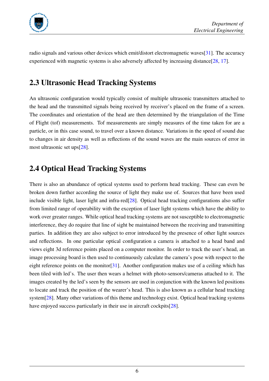

radio signals and various other devices which emit/distort electromagnetic waves[\[31\]](#page-55-0). The accuracy experienced with magnetic systems is also adversely affected by increasing distance[\[28,](#page-54-0) [17\]](#page-54-1).

## 2.3 Ultrasonic Head Tracking Systems

An ultrasonic configuration would typically consist of multiple ultrasonic transmitters attached to the head and the transmitted signals being received by receiver's placed on the frame of a screen. The coordinates and orientation of the head are then determined by the triangulation of the Time of Flight (tof) measurements. Tof measurements are simply measures of the time taken for are a particle, or in this case sound, to travel over a known distance. Variations in the speed of sound due to changes in air density as well as reflections of the sound waves are the main sources of error in most ultrasonic set ups[\[28\]](#page-54-0).

### 2.4 Optical Head Tracking Systems

There is also an abundance of optical systems used to perform head tracking. These can even be broken down further according the source of light they make use of. Sources that have been used include visible light, laser light and infra-red<sup>[\[28\]](#page-54-0)</sup>. Optical head tracking configurations also suffer from limited range of operability with the exception of laser light systems which have the ability to work over greater ranges. While optical head tracking systems are not susceptible to electromagnetic interference, they do require that line of sight be maintained between the receiving and transmitting parties. In addition they are also subject to error introduced by the presence of other light sources and reflections. In one particular optical configuration a camera is attached to a head band and views eight 3d reference points placed on a computer monitor. In order to track the user's head, an image processing board is then used to continuously calculate the camera's pose with respect to the eight reference points on the monitor[\[31\]](#page-55-0). Another configuration makes use of a ceiling which has been tiled with led's. The user then wears a helmet with photo-sensors/cameras attached to it. The images created by the led's seen by the sensors are used in conjunction with the known led positions to locate and track the position of the wearer's head. This is also known as a cellular head tracking system[\[28\]](#page-54-0). Many other variations of this theme and technology exist. Optical head tracking systems have enjoyed success particularly in their use in aircraft cockpits[\[28\]](#page-54-0).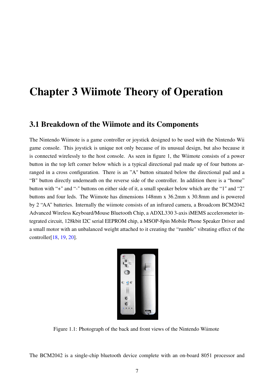# Chapter 3 Wiimote Theory of Operation

#### 3.1 Breakdown of the Wiimote and its Components

The Nintendo Wiimote is a game controller or joystick designed to be used with the Nintendo Wii game console. This joystick is unique not only because of its unusual design, but also because it is connected wirelessly to the host console. As seen in figure 1, the Wiimote consists of a power button in the top left corner below which is a typical directional pad made up of four buttons arranged in a cross configuration. There is an "A" button situated below the directional pad and a "B" button directly underneath on the reverse side of the controller. In addition there is a "home" button with "+" and "-" buttons on either side of it, a small speaker below which are the "1" and "2" buttons and four leds. The Wiimote has dimensions 148mm x 36.2mm x 30.8mm and is powered by 2 "AA" batteries. Internally the wiimote consists of an infrared camera, a Broadcom BCM2042 Advanced Wireless Keyboard/Mouse Bluetooth Chip, a ADXL330 3-axis iMEMS accelerometer integrated circuit, 128kbit I2C serial EEPROM chip, a MSOP-8pin Mobile Phone Speaker Driver and a small motor with an unbalanced weight attached to it creating the "rumble" vibrating effect of the controller[\[18,](#page-54-2) [19,](#page-54-3) [20\]](#page-54-4).



Figure 1.1: Photograph of the back and front views of the Nintendo Wiimote

<span id="page-13-0"></span>The BCM2042 is a single-chip bluetooth device complete with an on-board 8051 processor and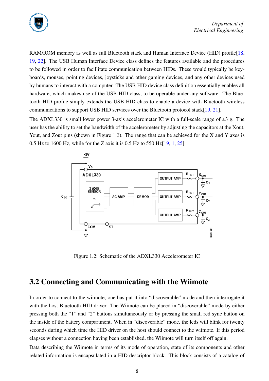

RAM/ROM memory as well as full Bluetooth stack and Human Interface Device (HID) profile [\[18,](#page-54-2) [19,](#page-54-3) [22\]](#page-54-5). The USB Human Interface Device class defines the features available and the procedures to be followed in order to facillitate communication between HIDs. These would typically be keyboards, mouses, pointing devices, joysticks and other gaming devices, and any other devices used by humans to interact with a computer. The USB HID device class definition essentially enables all hardware, which makes use of the USB HID class, to be operable under any software. The Bluetooth HID profile simply extends the USB HID class to enable a device with Bluetooth wireless communications to support USB HID services over the Bluetooth protocol stack[\[19,](#page-54-3) [21\]](#page-54-6).

The ADXL330 is small lower power 3-axis accelerometer IC with a full-scale range of  $\pm 3$  g. The user has the ability to set the bandwidth of the accelerometer by adjusting the capacitors at the Xout, Yout, and Zout pins (shown in Figure [1.2\)](#page-14-0). The range that can be achieved for the X and Y axes is 0.5 Hz to 1600 Hz, while for the Z axis it is 0.5 Hz to 550 Hz[\[19,](#page-54-3) [1,](#page-53-0) [25\]](#page-54-7).



<span id="page-14-0"></span>Figure 1.2: Schematic of the ADXL330 Accelerometer IC

### 3.2 Connecting and Communicating with the Wiimote

In order to connect to the wiimote, one has put it into "discoverable" mode and then interrogate it with the host Bluetooth HID driver. The Wiimote can be placed in "discoverable" mode by either pressing both the "1" and "2" buttons simultaneously or by pressing the small red sync button on the inside of the battery compartment. When in "discoverable" mode, the leds will blink for twenty seconds during which time the HID driver on the host should connect to the wiimote. If this period elapses without a connection having been established, the Wiimote will turn itself off again.

Data describing the Wiimote in terms of its mode of operation, state of its components and other related information is encapsulated in a HID descriptor block. This block consists of a catalog of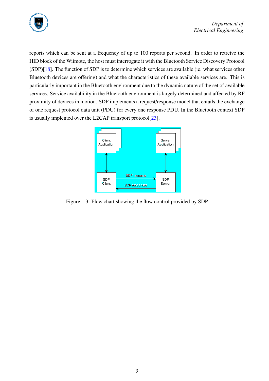

reports which can be sent at a frequency of up to 100 reports per second. In order to retreive the HID block of the Wiimote, the host must interrogate it with the Bluetooth Service Discovery Protocol (SDP)[\[18\]](#page-54-2). The function of SDP is to determine which services are available (ie. what services other Bluetooth devices are offering) and what the characteristics of these available services are. This is particularly important in the Bluetooth environment due to the dynamic nature of the set of available services. Service availability in the Bluetooth environment is largely determined and affected by RF proximity of devices in motion. SDP implements a request/response model that entails the exchange of one request protocol data unit (PDU) for every one response PDU. In the Bluetooth context SDP is usually implented over the L2CAP transport protocol[\[23\]](#page-54-8).



<span id="page-15-0"></span>Figure 1.3: Flow chart showing the flow control provided by SDP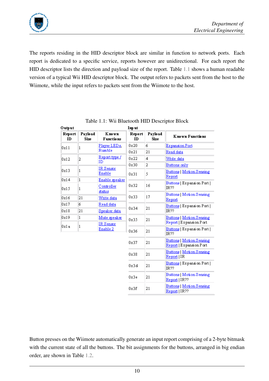

The reports residing in the HID descriptor block are similar in function to network ports. Each report is dedicated to a specific service, reports however are unidirectional. For each report the HID descriptor lists the direction and payload size of the report. Table [1.1](#page-16-0) shows a human readable version of a typical Wii HID descriptor block. The output refers to packets sent from the host to the Wiimote, while the input refers to packets sent from the Wiimote to the host.

| Output       |                        |                            | Input        |                 |                                                            |  |
|--------------|------------------------|----------------------------|--------------|-----------------|------------------------------------------------------------|--|
| Report<br>ID | Payload<br><b>Size</b> | Known<br><b>Functions</b>  | Report<br>ID | Payload<br>Size | <b>Known Functions</b>                                     |  |
| 0x11         | 1                      | Player LEDs.               | 0x20         | 6.              | <b>Expansion Port</b>                                      |  |
|              |                        | Rumble                     | 0x21         | 21              | Read data                                                  |  |
| 0x12         | 2                      | <u>Report type /</u><br>ID | 0x22         | 4               | Write data                                                 |  |
|              |                        |                            | 0x30         | 2               | Buttons only                                               |  |
| 0x13         | 1                      | IR Sensor<br>Enable        | 0x31         | 5               | <b>Buttons   Motion Sensing</b><br>Report                  |  |
| 0x14         | 1                      | <u>Enable speaker</u>      |              |                 | Buttons   Expansion Port                                   |  |
| 0x15         | 1                      | Controller                 | 0x32         | 16              | IR??                                                       |  |
| 0x16         | 21                     | status<br>Write data       | 0x33         | 17              | Buttons   Motion Sensing<br>Report                         |  |
| 0x17         | 6                      | Read data                  | 21<br>0x34   |                 | Buttons   Expansion Port                                   |  |
| 0x18         | 21                     | <u>Speaker data</u>        |              |                 | IR??                                                       |  |
| 0x19         | 1                      | <u>Mute speaker</u>        | 0x35         | 21              | <b>Buttons   Motion Sensing</b>                            |  |
| Ox1a         | 1                      | $IR$ Sensor                |              |                 | Report   Expansion Port                                    |  |
|              |                        | Enable 2                   | 0x36         | 21              | Buttons   Expansion Port  <br>IR??                         |  |
|              |                        |                            | 0x37         | 21              | <b>Buttons   Motion Sensing</b><br>Report   Expansion Port |  |
|              |                        |                            | 0x38         | 21              | <u> Buttons   Motion Sensing</u><br>Report   IR            |  |
|              |                        |                            | 0x3d         | 21              | Euttons   Expansion Port  <br>IR??                         |  |
|              |                        |                            | 0x3e         | 21              | Buttons   Motion Sensing<br>Report   IR??                  |  |
|              |                        |                            | 0x3f         | 21              | Buttons   Motion Sensing<br>Report   IR??                  |  |

<span id="page-16-0"></span>Table 1.1: Wii Bluetooth HID Descriptor Block

Button presses on the Wiimote automatically generate an input report comprising of a 2-byte bitmask with the current state of all the buttons. The bit assignments for the buttons, arranged in big endian order, are shown in Table [1.2.](#page-17-0)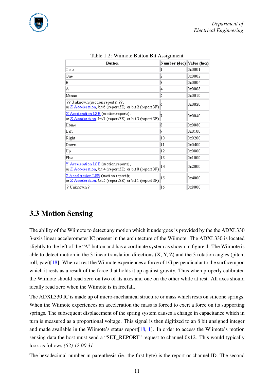

| <b>Button</b>                                                                                     | Number (dec)  Value (hex) |        |
|---------------------------------------------------------------------------------------------------|---------------------------|--------|
| Two                                                                                               |                           | 0x0001 |
| One                                                                                               | 12                        | 0x0002 |
| в                                                                                                 | Β                         | 0x0004 |
| Α                                                                                                 | 4                         | 0x0008 |
| Minus                                                                                             | 5                         | 0x0010 |
| ?? Unknown (motion reports) ??;<br>or Z Acceleration, bit 6 (report3E) or bit 2 (report 3F)       |                           | 0x0020 |
| X Acceleration LSB (motion reports);<br>or Z Acceleration, bit 7 (report 3E) or bit 3 (report 3F) |                           | 0x0040 |
| Home                                                                                              | 18                        | 0x0080 |
| Left                                                                                              | 19                        | 0x0100 |
| Right                                                                                             | 10                        | 0x0200 |
| Down                                                                                              | 11                        | 0x0400 |
| Up                                                                                                | 12                        | 0x0800 |
| Plus                                                                                              | 13                        | 0x1000 |
| Y Acceleration LSB (motion reports);<br>or Z Acceleration, bit 4 (report3E) or bit 0 (report 3F)  | 14                        | 0x2000 |
| Z Acceleration LSB (motion reports);<br>or Z Acceleration, bit 5 (report3E) or bit 1 (report 3F)  | 15                        | 0x4000 |
| ? Unknown ?                                                                                       | 16                        | 0x8000 |

<span id="page-17-0"></span>Table 1.2: Wiimote Button Bit Assignment

### 3.3 Motion Sensing

The ability of the Wiimote to detect any motion which it undergoes is provided by the the ADXL330 3-axis linear accelerometer IC present in the architecture of the Wiimote. The ADXL330 is located slightly to the left of the "A" button and has a cordinate system as shown in figure 4. The Wiimote is able to detect motion in the 3 linear translation directions  $(X, Y, Z)$  and the 3 rotation angles (pitch, roll, yaw)[\[18\]](#page-54-2). When at rest the Wiimote experiences a force of 1G perpendicular to the surface upon which it rests as a result of the force that holds it up against gravity. Thus when properly calibrated the Wiimote should read zero on two of its axes and one on the other while at rest. All axes should ideally read zero when the Wiimote is in freefall.

The ADXL330 IC is made up of micro-mechanical structure or mass which rests on silicone springs. When the Wiimote experiences an acceleration the mass is forced to exert a force on its supporting springs. The subsequent displacement of the spring system causes a change in capacitance which in turn is measured as a proportional voltage. This signal is then digitized to an 8 bit unsigned integer and made available in the Wiimote's status report[\[18,](#page-54-2) [1\]](#page-53-0). In order to access the Wiimote's motion sensing data the host must send a "SET\_REPORT" request to channel 0x12. This would typically look as follows:*(52) 12 00 31*

The hexadecimal number in parenthesis (ie. the first byte) is the report or channel ID. The second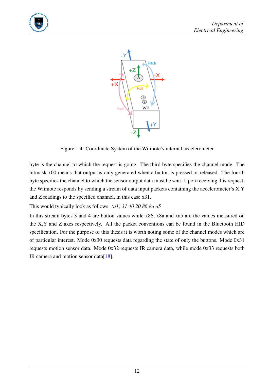



<span id="page-18-0"></span>Figure 1.4: Coordinate System of the Wiimote's internal accelerometer

byte is the channel to which the request is going. The third byte specifies the channel mode. The bitmask x00 means that output is only generated when a button is pressed or released. The fourth byte specifies the channel to which the sensor output data must be sent. Upon receiving this request, the Wiimote responds by sending a stream of data input packets containing the accelerometer's X,Y and Z readings to the specified channel, in this case x31.

This would typically look as follows: *(a1) 31 40 20 86 8a a5*

In this stream bytes 3 and 4 are button values while x86, x8a and xa5 are the values measured on the X,Y and Z axes respectively. All the packet conventions can be found in the Bluetooth HID specification. For the purpose of this thesis it is worth noting some of the channel modes which are of particular interest. Mode 0x30 requests data regarding the state of only the buttons. Mode 0x31 requests motion sensor data. Mode 0x32 requests IR camera data, while mode 0x33 requests both IR camera and motion sensor data[\[18\]](#page-54-2).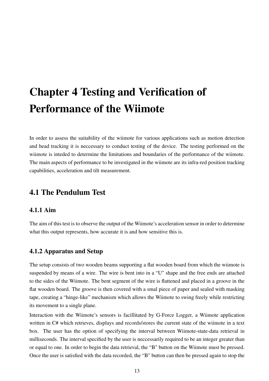# Chapter 4 Testing and Verification of Performance of the Wiimote

In order to assess the suitability of the wiimote for various applications such as motion detection and head tracking it is neccessary to conduct testing of the device. The testing performed on the wiimote is inteded to determine the limitations and boundaries of the performance of the wiimote. The main aspects of performance to be investigated in the wiimote are its infra-red position tracking capabilities, acceleration and tilt measurement.

### 4.1 The Pendulum Test

#### 4.1.1 Aim

The aim of this test is to observe the output of the Wiimote's acceleration sensor in order to determine what this output represents, how accurate it is and how sensitive this is.

#### 4.1.2 Apparatus and Setup

The setup consists of two wooden beams supporting a flat wooden board from which the wiimote is suspended by means of a wire. The wire is bent into in a "U" shape and the free ends are attached to the sides of the Wiimote. The bent segment of the wire is flattened and placed in a groove in the flat wooden board. The groove is then covered with a smal piece of paper and sealed with masking tape, creating a "hinge-like" mechanism which allows the Wiimote to swing freely while restricting its movement to a single plane.

Interaction with the Wiimote's sensors is facillitated by G-Force Logger, a Wiimote application written in C# which retrieves, displays and records/stores the current state of the wiimote in a text box. The user has the option of specifying the interval between Wiimote-state-data retrieval in milliseconds. The interval specified by the user is neccessarily required to be an integer greater than or equal to one. In order to begin the data retrieval, the "B" button on the Wiimote must be pressed. Once the user is satisfied with the data recorded, the "B" button can then be pressed again to stop the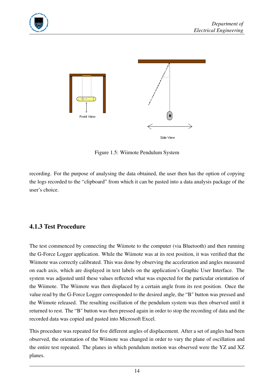



<span id="page-20-0"></span>Figure 1.5: Wiimote Pendulum System

recording. For the purpose of analysing the data obtained, the user then has the option of copying the logs recorded to the "clipboard" from which it can be pasted into a data analysis package of the user's choice.

#### 4.1.3 Test Procedure

The test commenced by connecting the Wiimote to the computer (via Bluetooth) and then running the G-Force Logger application. While the Wiimote was at its rest position, it was verified that the Wiimote was correctly calibrated. This was done by observing the acceleration and angles measured on each axis, which are displayed in text labels on the application's Graphic User Interface. The system was adjusted until these values reflected what was expected for the particular orientation of the Wiimote. The Wiimote was then displaced by a certain angle from its rest position. Once the value read by the G-Force Logger corresponded to the desired angle, the "B" button was pressed and the Wiimote released. The resulting oscillation of the pendulum system was then observed until it returned to rest. The "B" button was then pressed again in order to stop the recording of data and the recorded data was copied and pasted into Microsoft Excel.

This procedure was repeated for five different angles of displacement. After a set of angles had been observed, the orientation of the Wiimote was changed in order to vary the plane of oscillation and the entire test repeated. The planes in which pendulum motion was observed were the YZ and XZ planes.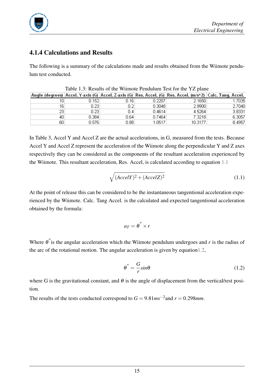

#### 4.1.4 Calculations and Results

The following is a summary of the calculations made and results obtained from the Wiimote pendulum test conducted.

|    |       |       |        | Angle (degrees)  Accel. Y-axis (G)  Accel. Z-axis (G)  Res. Accel. (G)  Res. Accel. (m/s^2)  Calc. Tang. Accel. |        |
|----|-------|-------|--------|-----------------------------------------------------------------------------------------------------------------|--------|
| 10 | 0.152 | 0.161 | 0.2207 | 2.1650                                                                                                          | 1.7035 |
| 16 | 0.231 | 0.2   | 0.3048 | 2.9900                                                                                                          | 2.7040 |
| 23 | 0.23  | 0.4   | 0.4614 | 4.5264                                                                                                          | 3.8331 |
| 40 | 0.384 | 0.64  | 0.7464 | 7.3218                                                                                                          | 6.3057 |
| 60 | 0.576 | 0.88  | 1.0517 | 10.3177                                                                                                         | 8.4957 |

<span id="page-21-0"></span>Table 1.3: Results of the Wiimote Pendulum Test for the YZ plane

In Table 3, Accel Y and Accel Z are the actual accelerations, in G, measured from the tests. Because Accel Y and Accel Z represent the acceleration of the Wiimote along the perpendicular Y and Z axes respectively they can be considered as the components of the resultant acceleration experienced by the Wiimote. This resultant acceleration, Res. Accel, is calculated according to equation [1.1](#page-21-1)

<span id="page-21-1"></span>
$$
\sqrt{(AccelY)^2 + (AccelZ)^2}
$$
 (1.1)

At the point of release this can be considered to be the instantaneous tangentional acceleration experienced by the Wiimote. Calc. Tang Accel. is the calculated and expected tangentional acceleration obtained by the formula:

$$
a_T = \theta^{''} \times r
$$

Where  $\theta$ <sup>"</sup> is the angular acceleration which the Wiimote pendulum undergoes and *r* is the radius of the arc of the rotational motion. The angular acceleration is given by equatio[n1.2,](#page-21-2)

<span id="page-21-2"></span>
$$
\theta'' = -\frac{G}{r} \sin \theta \tag{1.2}
$$

where G is the gravitational constant, and  $\theta$  is the angle of displacement from the vertical/rest position.

The results of the tests conducted correspond to  $G = 9.81 \text{ms}^{-2}$  and  $r = 0.298 \text{mm}$ .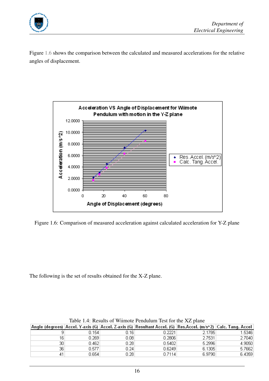

Figure [1.6](#page-22-0) shows the comparison between the calculated and measured accelerations for the relative angles of displacement.



<span id="page-22-0"></span>Figure 1.6: Comparison of measured acceleration against calculated acceleration for Y-Z plane

The following is the set of results obtained for the X-Z plane.

|     |           |      | Angle (degrees)  Accel, Y-axis (G)  Accel, Z-axis (G)  Resultant Accel, (G)  Res.Accel, (m/s^2)  Calc, Tang, Accel |        |        |
|-----|-----------|------|--------------------------------------------------------------------------------------------------------------------|--------|--------|
|     | $0.154$ i | 0.16 | 0.2221                                                                                                             | 2.1785 | .53461 |
| 16  | 0.269     | 0.08 | 0.2806                                                                                                             | 2.7531 | 2.7040 |
| 30  | 0.462     | 0.28 | 0.5402                                                                                                             | 5.2996 | 4.9050 |
| 361 | 0.577     | 0.24 | 0.6249                                                                                                             | 6.1305 | 5.7662 |
| 41  | 0.654     | 0.28 | 0.7114                                                                                                             | 6.9790 | 6.4359 |

<span id="page-22-1"></span>Table 1.4: Results of Wiimote Pendulum Test for the XZ plane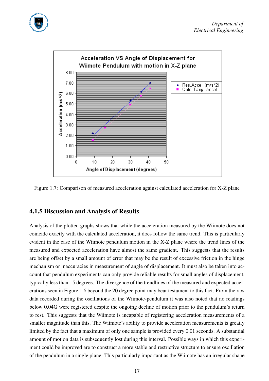



<span id="page-23-0"></span>Figure 1.7: Comparison of measured acceleration against calculated acceleration for X-Z plane

#### 4.1.5 Discussion and Analysis of Results

Analysis of the plotted graphs shows that while the acceleration measured by the Wiimote does not coincide exactly with the calculated acceleration, it does follow the same trend. This is particularly evident in the case of the Wiimote pendulum motion in the X-Z plane where the trend lines of the measured and expected acceleration have almost the same gradient. This suggests that the results are being offset by a small amount of error that may be the result of excessive friction in the hinge mechanism or inaccuracies in measurement of angle of displacement. It must also be taken into account that pendulum experiments can only provide reliable results for small angles of displacement, typically less than 15 degrees. The divergence of the trendlines of the measured and expected accelerations seen in Figure [1.6](#page-22-0) beyond the 20 degree point may bear testament to this fact. From the raw data recorded during the oscillations of the Wiimote-pendulum it was also noted that no readings below 0.04G were registered despite the ongoing decline of motion prior to the pendulum's return to rest. This suggests that the Wiimote is incapable of registering acceleration measurements of a smaller magnitude than this. The Wiimote's ability to provide acceleration measurements is greatly limited by the fact that a maximum of only one sample is provided every 0.01 seconds. A substantial amount of motion data is subsequently lost during this interval. Possible ways in which this experiment could be improved are to construct a more stable and restrictive structure to ensure oscillation of the pendulum in a single plane. This particularly important as the Wiimote has an irregular shape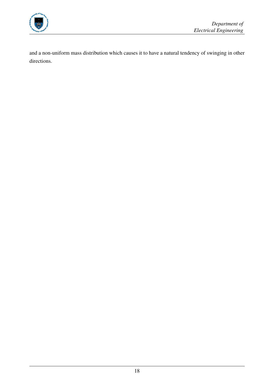

and a non-uniform mass distribution which causes it to have a natural tendency of swinging in other directions.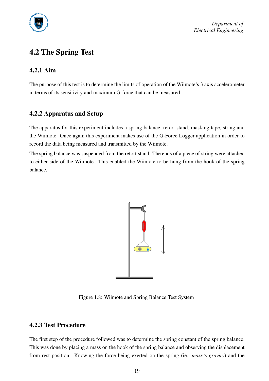

## 4.2 The Spring Test

#### 4.2.1 Aim

The purpose of this test is to determine the limits of operation of the Wiimote's 3 axis accelerometer in terms of its sensitivity and maximum G-force that can be measured.

#### 4.2.2 Apparatus and Setup

The apparatus for this experiment includes a spring balance, retort stand, masking tape, string and the Wiimote. Once again this experiment makes use of the G-Force Logger application in order to record the data being measured and transmitted by the Wiimote.

The spring balance was suspended from the retort stand. The ends of a piece of string were attached to either side of the Wiimote. This enabled the Wiimote to be hung from the hook of the spring balance.



Figure 1.8: Wiimote and Spring Balance Test System

#### <span id="page-25-0"></span>4.2.3 Test Procedure

The first step of the procedure followed was to determine the spring constant of the spring balance. This was done by placing a mass on the hook of the spring balance and observing the displacement from rest position. Knowing the force being exerted on the spring (ie. *mass* × *gravity*) and the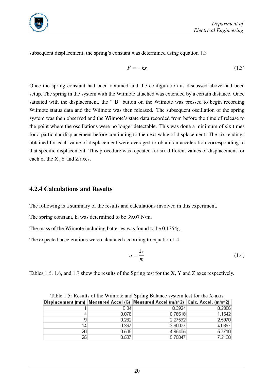

subsequent displacement, the spring's constant was determined using equation [1.3](#page-26-1)

<span id="page-26-1"></span>
$$
F = -kx \tag{1.3}
$$

Once the spring constant had been obtained and the configuration as discussed above had been setup, The spring in the system with the Wiimote attached was extended by a certain distance. Once satisfied with the displacement, the ""B" button on the Wiimote was pressed to begin recording Wiimote status data and the Wiimote was then released. The subsequent oscillation of the spring system was then observed and the Wiimote's state data recorded from before the time of release to the point where the oscillations were no longer detectable. This was done a minimum of six times for a particular displacement before continuing to the next value of displacement. The six readings obtained for each value of displacement were averaged to obtain an acceleration corresponding to that specific displacement. This procedure was repeated for six different values of displacement for each of the X, Y and Z axes.

#### 4.2.4 Calculations and Results

The following is a summary of the results and calculations involved in this experiment.

The spring constant, k, was determined to be 39.07 N/m.

The mass of the Wiimote including batteries was found to be 0.1354g.

The expected accelerations were calculated according to equation [1.4](#page-26-2)

<span id="page-26-2"></span>
$$
a = \frac{kx}{m} \tag{1.4}
$$

Tables [1.5,](#page-26-0) [1.6,](#page-27-1) and [1.7](#page-27-2) show the results of the Spring test for the X, Y and Z axes respectively.

| Table 1.5. Results of the Willhole and Spring Datance system test for the 2x axis |       |                                                                                     |        |  |  |  |  |
|-----------------------------------------------------------------------------------|-------|-------------------------------------------------------------------------------------|--------|--|--|--|--|
|                                                                                   |       | Displacement (mm)  Measured Accel (G)  Measured Accel (m/s^2)  Calc. Accel. (m/s^2) |        |  |  |  |  |
|                                                                                   | 0.04  | 0.3924                                                                              | 0.2886 |  |  |  |  |
|                                                                                   | 0.078 | 0.76518                                                                             | 1.1542 |  |  |  |  |
| 9                                                                                 | 0.232 | 2.27592                                                                             | 2.5970 |  |  |  |  |
| 14                                                                                | 0.367 | 3.60027                                                                             | 4.0397 |  |  |  |  |
| 20                                                                                | 0.505 | 4.95405                                                                             | 5.7710 |  |  |  |  |
| 25                                                                                | 0.587 | 5.75847                                                                             | 7.2138 |  |  |  |  |

<span id="page-26-0"></span>Table 1.5: Results of the Wiimote and Spring Balance system test for the X-axis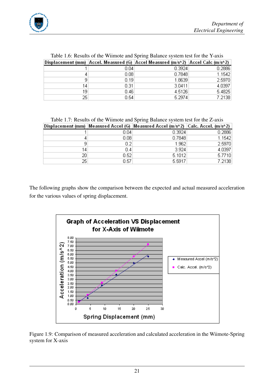

| Table 1.0. Results of the willhole and spring balance system test for the 1-axis |      |                                                                                    |        |  |  |  |  |
|----------------------------------------------------------------------------------|------|------------------------------------------------------------------------------------|--------|--|--|--|--|
|                                                                                  |      | Displacement (mm)  Accel. Measured (G)  Accel Measured (m/s^2)  Accel Calc (m/s^2) |        |  |  |  |  |
|                                                                                  | 0.04 | 0.3924                                                                             | 0.2886 |  |  |  |  |
|                                                                                  | 0.08 | 0.7848                                                                             | 1.1542 |  |  |  |  |
| 9                                                                                | 0.19 | 1.8639                                                                             | 2.5970 |  |  |  |  |
| 14                                                                               | 0.31 | 3.0411                                                                             | 4.0397 |  |  |  |  |
| 19.                                                                              | 0.46 | 4.5126                                                                             | 5.4825 |  |  |  |  |
| 25                                                                               | 0.54 | 5.2974                                                                             | 7.2138 |  |  |  |  |

<span id="page-27-1"></span>Table 1.6: Results of the Wiimote and Spring Balance system test for the Y-axis

<span id="page-27-2"></span>Table 1.7: Results of the Wiimote and Spring Balance system test for the Z-axis

|    |      | Displacement (mm)  Measured Accel (G)  Measured Accel (m/s^2)  Calc. Accel. (m/s^2) |        |
|----|------|-------------------------------------------------------------------------------------|--------|
|    | 0.04 | 0.3924                                                                              | 0.2886 |
| 4  | 0.08 | 0.7848                                                                              | 1.1542 |
| 9  | 0.2  | 1.962                                                                               | 2.5970 |
| 14 | 0.4  | 3.924                                                                               | 4.0397 |
| 20 | 0.52 | 5.1012                                                                              | 5.7710 |
| 25 | 0.57 | 5.5917                                                                              | 7.2138 |

The following graphs show the comparison between the expected and actual measured acceleration for the various values of spring displacement.



<span id="page-27-0"></span>Figure 1.9: Comparison of measured acceleration and calculated acceleration in the Wiimote-Spring system for X-axis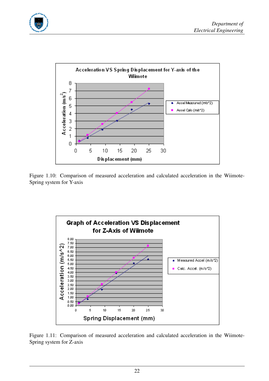



<span id="page-28-0"></span>Figure 1.10: Comparison of measured acceleration and calculated acceleration in the Wiimote-Spring system for Y-axis



<span id="page-28-1"></span>Figure 1.11: Comparison of measured acceleration and calculated acceleration in the Wiimote-Spring system for Z-axis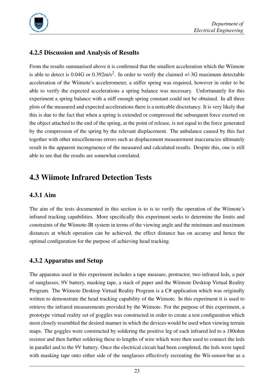

#### 4.2.5 Discussion and Analysis of Results

From the results summarised above it is confirmed that the smallest acceleration which the Wiimote is able to detect is  $0.04G$  or  $0.392 \text{m/s}^2$ . In order to verify the claimed  $+/-3G$  maximum detectable acceleration of the Wiimote's accelerometer, a stiffer spring was required, however in order to be able to verify the expected accelerations a spring balance was necessary. Unfortunately for this experiment a spring balance with a stiff enough spring constant could not be obtained. In all three plots of the measured and expected accelerations there is a noticable discretancy. It is very likely that this is due to the fact that when a spring is extended or compressed the subsequent force exerted on the object attached to the end of the spring, at the point of release, is not equal to the force generated by the compression of the spring by the relevant displacement. The unbalance caused by this fact together with other miscelleneous errors such as displacement measurement inaccuracies ultimately result in the apparent incongruence of the measured and calculated results. Despite this, one is still able to see that the results are somewhat correlated.

### 4.3 Wiimote Infrared Detection Tests

#### 4.3.1 Aim

The aim of the tests documented in this section is to is to verify the operation of the Wiimote's infrared tracking capabilities. More specifically this experiment seeks to determine the limits and constraints of the Wiimote-IR system in terms of the viewing angle and the minimum and maximum distances at which operation can be achieved, the effect distance has on accuray and hence the optimal configuration for the purpose of achieving head tracking.

#### 4.3.2 Apparatus and Setup

The apparatus used in this experiment includes a tape measure, protractor, two infrared leds, a pair of sunglasses, 9V battery, masking tape, a stack of paper and the Wiimote Desktop Virtual Reality Program. The Wiimote Desktop Virtual Reality Program is a C# application which was originally written to demonstrate the head tracking capability of the Wiimote. In this experiment it is used to retrieve the infrared measurements provided by the Wiimote. For the purpose of this experiment, a prototype virtual reality set of goggles was constructed in order to create a test configuration which most closely resembled the desired manner in which the devices would be used when viewing terrain maps. The goggles were constructed by soldering the positive leg of each infrared led to a 180ohm resistor and then further soldering these to lengths of wire which were then used to connect the leds in parallel and to the 9V battery. Once the electrical circuit had been completed, the leds were taped with masking tape onto either side of the sunglasses effectively recreating the Wii-sensor-bar as a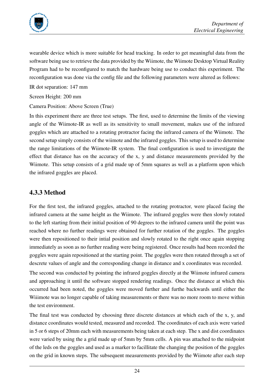

wearable device which is more suitable for head tracking. In order to get meaningful data from the software being use to retrieve the data provided by the Wiimote, the Wiimote Desktop Virtual Reality Program had to be reconfigured to match the hardware being use to conduct this experiment. The reconfiguration was done via the config file and the following parameters were altered as follows:

IR dot separation: 147 mm

Screen Height: 200 mm

Camera Position: Above Screen (True)

In this experiment there are three test setups. The first, used to determine the limits of the viewing angle of the Wiimote-IR as well as its sensitivity to small movement, makes use of the infrared goggles which are attached to a rotating protractor facing the infrared camera of the Wiimote. The second setup simply consists of the wiimote and the infrared goggles. This setup is used to determine the range limitations of the Wiimote-IR system. The final configuration is used to investigate the effect that distance has on the accuracy of the x, y and distance measurements provided by the Wiimote. This setup consists of a grid made up of 5mm squares as well as a platform upon which the infrared goggles are placed.

#### 4.3.3 Method

For the first test, the infrared goggles, attached to the rotating protractor, were placed facing the infrared camera at the same height as the Wiimote. The infrared goggles were then slowly rotated to the left starting from their initial position of 90 degrees to the infrared camera until the point was reached where no further readings were obtained for further rotation of the goggles. The goggles were then repositioned to their intial position and slowly rotated to the right once again stopping immediately as soon as no further reading were being registered. Once results had been recorded the goggles were again repositioned at the starting point. The goggles were then rotated through a set of descrete values of angle and the corresponding change in distance and x coordinates was recorded.

The second was conducted by pointing the infrared goggles directly at the Wiimote infrared camera and approaching it until the software stopped rendering readings. Once the distance at which this occurred had been noted, the goggles were moved further and furthe backwards until either the Wiiimote was no longer capable of taking measurements or there was no more room to move within the test environment.

The final test was conducted by choosing three discrete distances at which each of the x, y, and distance coordinates would tested, measured and recorded. The coordinates of each axis were varied in 5 or 6 steps of 20mm each with measurements being taken at each step. The x and dist coordinates were varied by using the a grid made up of 5mm by 5mm cells. A pin was attached to the midpoint of the leds on the goggles and used as a marker to facillitate the changing the position of the goggles on the grid in known steps. The subsequent measurements provided by the Wiimote after each step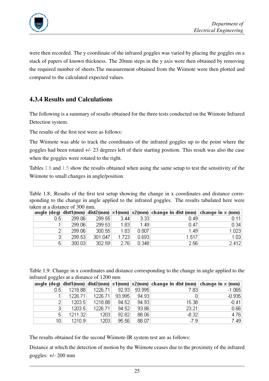

were then recorded. The y coordinate of the infrared goggles was varied by placing the goggles on a stack of papers of known thickness. The 20mm steps in the y axis were then obtained by removing the required number of sheets.The measurement obtained from the Wiimote were then plotted and compared to the calculated expected values.

#### 4.3.4 Results and Calculations

The following is a summary of results obtained for the three tests conducted on the Wiimote Infrared Detection system.

The results of the first test were as follows:

The Wiimote was able to track the coordinates of the infrared goggles up to the point where the goggles had been rotated +/- 23 degrees left of their starting position. This result was also the case when the goggles were rotated to the right.

Tables [1.8](#page-31-0) and [1.5](#page-31-1) show the results obtained when using the same setup to test the sensitivity of the Wiimote to small changes in angle/position.

<span id="page-31-0"></span>Table 1.8: Results of the first test setup showing the change in x coordinates and distance corresponding to the change in angle applied to the infrared goggles. The results tabulated here were taken at a distance of 300 mm.

|     |        |         |       |       | angle (deg) $ dist(mm) $ dist2(mm) $ x1(mm) x2(mm) $ change in dist (mm) $ change$ in $x$ (mm) $ $ |       |
|-----|--------|---------|-------|-------|----------------------------------------------------------------------------------------------------|-------|
| 0.5 | 299.06 | 299.55  | 3.44  | 3.33  | 0.49                                                                                               | 0.11  |
|     | 299.06 | 299.53  | 1.83  | 1.49  | 0.47                                                                                               | 0.34  |
|     | 299.06 | 300.55  | 1.83  | 0.807 | 1.49                                                                                               | 1.023 |
| 31  | 299.53 | 301.047 | 1.723 | 0.693 | 1.517                                                                                              | 1.03  |
| 5   | 300.03 | 302.59  | 2.76  | 0.348 | 2.56                                                                                               | 2.412 |

<span id="page-31-1"></span>Table 1.9: Change in x coordinates and distance corresponding to the change in angle applied to the infrared goggles at a distance of 1200 mm

|                  |              |         |        |        | angle (deg) dist1(mm) dist2(mm) $x1$ (mm) $x2$ (mm) change in dist (mm) change in x (mm) |          |
|------------------|--------------|---------|--------|--------|------------------------------------------------------------------------------------------|----------|
| 0.5 <sub>1</sub> | 1218.88      | 1226.71 | 92.93  | 93.995 | 7.83                                                                                     | $-1.065$ |
|                  | 1226.71      | 1226.71 | 93.995 | 94.93  | 0                                                                                        | $-0.935$ |
|                  | 1203.5       | 1218.88 | 94.52  | 94.93  | 15.38                                                                                    | $-0.41$  |
|                  | 1203.5<br>31 | 1226.71 | 94.52  | 93.86  | 23.21                                                                                    | 0.66     |
|                  | 5<br>1211.32 | 1203    | 92.82  | 88.06  | $-8.32$                                                                                  | 4.76     |
| 10               | 1210.9       | 1203    | 95.56  | 88.07  | $-7.9$                                                                                   | 7.49     |

The results obtained for the second Wiimote-IR system test are as follows:

Distance at which the detection of motion by the Wiimote ceases due to the proximity of the infrared goggles: +/- 200 mm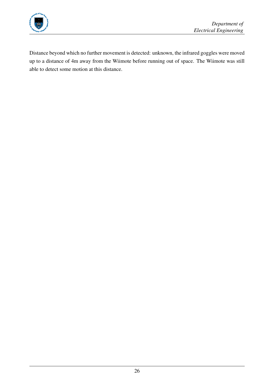

Distance beyond which no further movement is detected: unknown, the infrared goggles were moved up to a distance of 4m away from the Wiimote before running out of space. The Wiimote was still able to detect some motion at this distance.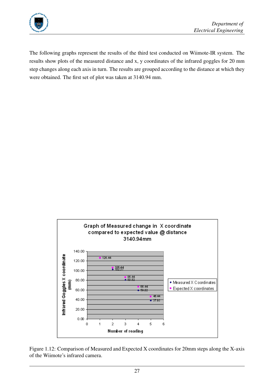

The following graphs represent the results of the third test conducted on Wiimote-IR system. The results show plots of the measured distance and x, y coordinates of the infrared goggles for 20 mm step changes along each axis in turn. The results are grouped according to the distance at which they were obtained. The first set of plot was taken at 3140.94 mm.



<span id="page-33-0"></span>Figure 1.12: Comparison of Measured and Expected X coordinates for 20mm steps along the X-axis of the Wiimote's infrared camera.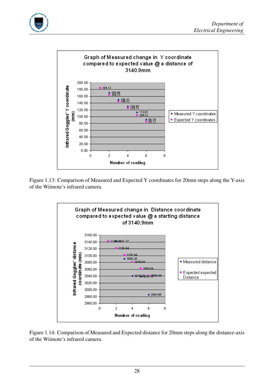



Figure 1.13: Comparison of Measured and Expected Y coordinates for 20mm steps along the Y-axis of the Wiimote's infrared camera.

<span id="page-34-0"></span>

<span id="page-34-1"></span>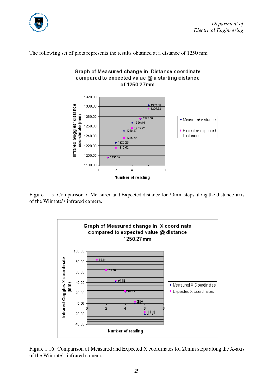





The following set of plots represents the results obtained at a distance of 1250 mm

Figure 1.15: Comparison of Measured and Expected distance for 20mm steps along the distance-axis of the Wiimote's infrared camera.

<span id="page-35-0"></span>

<span id="page-35-1"></span>Figure 1.16: Comparison of Measured and Expected X coordinates for 20mm steps along the X-axis of the Wiimote's infrared camera.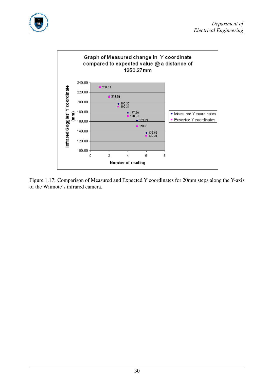



<span id="page-36-0"></span>Figure 1.17: Comparison of Measured and Expected Y coordinates for 20mm steps along the Y-axis of the Wiimote's infrared camera.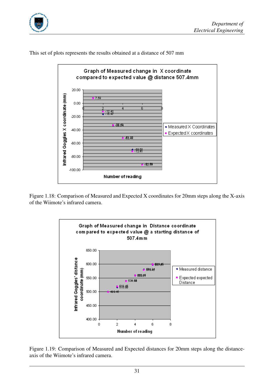





This set of plots represents the results obtained at a distance of 507 mm

Figure 1.18: Comparison of Measured and Expected X coordinates for 20mm steps along the X-axis of the Wiimote's infrared camera.

<span id="page-37-0"></span>

<span id="page-37-1"></span>Figure 1.19: Comparison of Measured and Expected distances for 20mm steps along the distanceaxis of the Wiimote's infrared camera.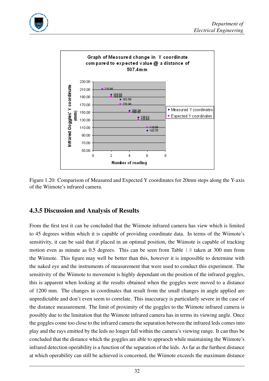



<span id="page-38-0"></span>Figure 1.20: Comparison of Measured and Expected Y coordinates for 20mm steps along the Y-axis of the Wiimote's infrared camera.

#### 4.3.5 Discussion and Analysis of Results

From the first test it can be concluded that the Wiimote infrared camera has view which is limited to 45 degrees within which it is capable of providing coordinate data. In terms of the Wiimote's sensitivity, it can be said that if placed in an optimal position, the Wiimote is capable of tracking motion even as minute as 0.5 degrees. This can be seen from Table [1.8](#page-31-0) taken at 300 mm from the Wiimote. This figure may well be better than this, however it is impossible to determine with the naked eye and the instruments of measurement that were used to conduct this experiment. The sensitivity of the Wiimote to movement is highly dependant on the position of the infrared goggles, this is apparent when looking at the results obtained when the goggles were moved to a distance of 1200 mm. The changes in coordinates that result from the small changes in angle applied are unpredictable and don't even seem to correlate. This inaccuracy is particularly severe in the case of the distance measurement. The limit of proximity of the goggles to the Wiimote infrared camera is possibly due to the limitation that the Wiimote infrared camera has in terms its viewing angle. Once the goggles come too close to the infrared camera the separation between the infrared leds comes into play and the rays emitted by the leds no longer fall within the camera's viewing range. It can thus be concluded that the distance which the goggles are able to appraoch while maintaining the Wiimote's infrared detection operability is a function of the separation of the leds. As far as the furthest distance at which operability can still be achieved is concerned, the Wiimote exceeds the maximum distance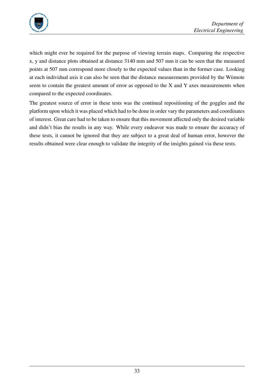

which might ever be required for the purpose of viewing terrain maps. Comparing the respective x, y and distance plots obtained at distance 3140 mm and 507 mm it can be seen that the measured points at 507 mm correspond more closely to the expected values than in the former case. Looking at each individual axis it can also be seen that the distance measurements provided by the Wiimote seem to contain the greatest amount of error as opposed to the X and Y axes measurements when compared to the expected coordinates.

The greatest source of error in these tests was the continual repositioning of the goggles and the platform upon which it was placed which had to be done in order vary the parameters and coordinates of interest. Great care had to be taken to ensure that this movement affected only the desired variable and didn't bias the results in any way. While every endeavor was made to ensure the accuracy of these tests, it cannot be ignored that they are subject to a great deal of human error, however the results obtained were clear enough to validate the integrity of the insights gained via these tests.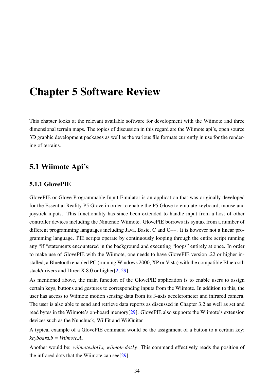## Chapter 5 Software Review

This chapter looks at the relevant available software for development with the Wiimote and three dimensional terrain maps. The topics of discussion in this regard are the Wiimote api's, open source 3D graphic development packages as well as the various file formats currently in use for the rendering of terrains.

#### 5.1 Wiimote Api's

#### 5.1.1 GlovePIE

GlovePIE or Glove Programmable Input Emulator is an application that was originally developed for the Essential Reality P5 Glove in order to enable the P5 Glove to emulate keyboard, mouse and joystick inputs. This functionality has since been extended to handle input from a host of other controller devices including the Nintendo Wiimote. GlovePIE borrows its syntax from a number of different programming languages including Java, Basic, C and C++. It is however not a linear programming language. PIE scripts operate by continuously looping through the entire script running any "if "statements encountered in the background and executing "loops" entirely at once. In order to make use of GlovePIE with the Wiimote, one needs to have GlovePIE version .22 or higher installed, a Bluetooth enabled PC (running Windows 2000, XP or Vista) with the compatible Bluetooth stack/drivers and DirectX 8.0 or higher[\[2,](#page-53-1) [29\]](#page-54-9).

As mentioned above, the main function of the GlovePIE application is to enable users to assign certain keys, buttons and gestures to corresponding inputs from the Wiimote. In addition to this, the user has access to Wiimote motion sensing data from its 3-axis accelerometer and infrared camera. The user is also able to send and retrieve data reports as discussed in Chapter 3.2 as well as set and read bytes in the Wiimote's on-board memory[\[29\]](#page-54-9). GlovePIE also supports the Wiimote's extension devices such as the Nunchuck, WiiFit and WiiGuitar

A typical example of a GlovePIE command would be the assignment of a button to a certain key: *keyboard.b = Wiimote.A.*

Another would be: *wiimote.dot1x, wiimote.dot1y.* This command effectively reads the position of the infrared dots that the Wiimote can see[\[29\]](#page-54-9).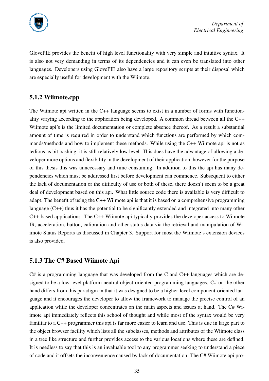

GlovePIE provides the benefit of high level functionality with very simple and intuitive syntax. It is also not very demanding in terms of its dependencies and it can even be translated into other languages. Developers using GlovePIE also have a large repository scripts at their disposal which are especially useful for development with the Wiimote.

#### 5.1.2 Wiimote.cpp

The Wiimote api written in the C++ language seems to exist in a number of forms with functionality varying according to the application being developed. A common thread between all the C++ Wiimote api's is the limited documentation or complete absence thereof. As a result a substantial amount of time is required in order to understand which functions are performed by which commands/methods and how to implement these methods. While using the C++ Wiimote api is not as tedious as bit bashing, it is still relatively low level. This does have the advantage of allowing a developer more options and flexibility in the development of their application, however for the purpose of this thesis this was unnecessary and time consuming. In addition to this the api has many dependencies which must be addressed first before development can commence. Subsequent to either the lack of documentation or the difficulty of use or both of these, there doesn't seem to be a great deal of development based on this api. What little source code there is available is very difficult to adapt. The benefit of using the C++ Wiimote api is that it is based on a comprehensive programming language (C++) thus it has the potential to be significantly extended and integrated into many other C++ based applications. The C++ Wiimote api typically provides the developer access to Wiimote IR, acceleration, button, calibration and other status data via the retrieval and manipulation of Wiimote Status Reports as discussed in Chapter 3. Support for most the Wiimote's extension devices is also provided.

#### 5.1.3 The C# Based Wiimote Api

C# is a programming language that was developed from the C and C++ languages which are designed to be a low-level platform-neutral object-oriented programming languages. C# on the other hand differs from this paradigm in that it was designed to be a higher-level component-oriented language and it encourages the developer to allow the framework to manage the precise control of an application while the developer concentrates on the main aspects and issues at hand. The C# Wiimote api immediately reflects this school of thought and while most of the syntax would be very familiar to a C++ programmer this api is far more easier to learn and use. This is due in large part to the object browser facility which lists all the subclasses, methods and attributes of the Wiimote class in a tree like structure and further provides access to the various locations where these are defined. It is needless to say that this is an invaluable tool to any programmer seeking to understand a piece of code and it offsets the inconvenience caused by lack of documentation. The C# Wiimote api pro-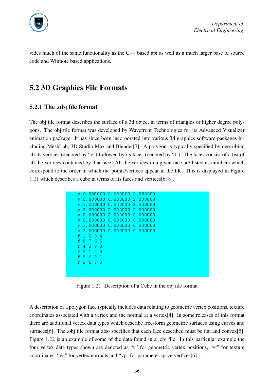

vides much of the same functionality as the C++ based api as well as a much larger base of source code and Wiimote based applications.

### 5.2 3D Graphics File Formats

#### 5.2.1 The .obj file format

The obj file format describes the surface of a 3d object in terms of triangles or higher degree polygons. The obj file format was developed by Wavefront Technologies for its Advanced Visualizer animation package. It has since been incorporated into various 3d graphics software packages including MeshLab, 3D Studio Max and Blender[\[7\]](#page-53-2). A polygon is typically specified by describing all its vertices (denoted by "v") followed by its faces (denoted by "f"). The faces consist of a list of all the vertices contained by that face. All the vertices in a given face are listed as numbers which correspond to the order in which the points/vertices appear in the file. This is displayed in Figure [1.21](#page-42-0) which describes a cube in terms of its faces and vertices[\[6,](#page-53-3) [8\]](#page-53-4).

| v 0.000000 2.000000 2.000000       |  |  |
|------------------------------------|--|--|
| v 0.000000 0.000000 2.000000       |  |  |
|                                    |  |  |
| $\rm v$ 2.000000 0.000000 2.000000 |  |  |
| $\sqrt{2.0000002.0000002.000000}$  |  |  |
| v 0.000000 2.000000 0.000000       |  |  |
| v 0.000000 0.000000 0.000000       |  |  |
| v 2.000000 0.000000 0.000000       |  |  |
| v 2.000000 2.000000 0.000000       |  |  |
| f 1 2 3 4                          |  |  |
| f 8 7 6 5                          |  |  |
| f 4 3 7 8                          |  |  |
| f 5 1 4 8                          |  |  |
| f 5 6 2 1                          |  |  |
| f 2 6 7 3                          |  |  |
|                                    |  |  |
|                                    |  |  |

<span id="page-42-0"></span>Figure 1.21: Description of a Cube in the obj file format

A description of a polygon face typically includes data relating to geometric vertex positions, texture coordinates associated with a vertex and the normal at a vertex[\[4\]](#page-53-5). In some releases of this format there are additional vertex data types which describe free-form geometric surfaces using curves and surfaces<sup>[\[6\]](#page-53-3)</sup>. The .obj file format also specifies that each face described must be flat and convex<sup>[\[5\]](#page-53-6)</sup>. Figure [1.22](#page-43-0) is an example of some of the data found in a .obj file. In this particular example the four vertex data types shown are denoted as "v" for geometric vertex positions, "vt" for texture coordinates, "vn" for vertex normals and "vp" for parameter space vertices[\[6\]](#page-53-3).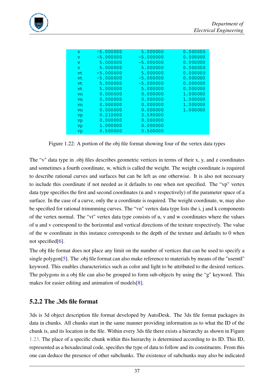

| v  | -5.000000   | 5.000000    | 0.000000 |
|----|-------------|-------------|----------|
| v  | $-5.000000$ | $-5.000000$ | 0.000000 |
| v  | 5.000000    | $-5.000000$ | 0.000000 |
| v  | 5.000000    | 5.000000    | 0.000000 |
| vt | $-5.000000$ | 5.000000    | 0.000000 |
| vt | $-5.000000$ | $-5.000000$ | 0.000000 |
| vt | 5.000000    | $-5.000000$ | 0.000000 |
| vt | 5.000000    | 5.000000    | 0.000000 |
| vn | 0.000000    | 0.000000    | 1.000000 |
| vn | 0.000000    | 0.000000    | 1.000000 |
| vn | 0.000000    | 0.000000    | 1.000000 |
| vn | 0.000000    | 0.000000    | 1.000000 |
| vp | 0.210000    | 3.590000    |          |
| vp | 0.000000    | 0.000000    |          |
| vp | 1.000000    | 0.000000    |          |
| vp | 0.500000    | 0.500000    |          |
|    |             |             |          |

<span id="page-43-0"></span>Figure 1.22: A portion of the obj file format showing four of the vertex data types

The "v" data type in .obj files describes geometric vertices in terms of their x, y, and z coordinates and sometimes a fourth coordinate, w, which is called the weight. The weight coordinate is required to describe rational curves and surfaces but can be left as one otherwise. It is also not necessary to include this coordinate if not needed as it defaults to one when not specified. The "vp" vertex data type specifies the first and second coordinates (u and v respectively) of the parameter space of a surface. In the case of a curve, only the u coordinate is required. The weight coordinate, w, may also be specified for rational trimmming curves. The "vn" vertex data type lists the i, j and k components of the vertex normal. The "vt" vertex data type consists of u, v and w coordinates where the values of u and v correspond to the horizontal and vertical directions of the texture respectively. The value of the w coordinate in this instance corresponds to the depth of the texture and defaults to 0 when not specified<sup>[\[6\]](#page-53-3)</sup>.

The obj file format does not place any limit on the number of vertices that can be used to specify a single polygon[\[5\]](#page-53-6). The .obj file format can also make reference to materials by means of the "usemtl" keyword. This enables characteristics such as color and light to be attributed to the desired vertices. The polygons in a obj file can also be grouped to form sub-objects by using the "g" keyword. This makes for easier editing and animation of models[\[8\]](#page-53-4).

#### 5.2.2 The .3ds file format

3ds is 3d object description file format developed by AutoDesk. The 3ds file format packages its data in chunks. All chunks start in the same manner providing information as to what the ID of the chunk is, and its location in the file. Within every 3ds file there exists a hierarchy as shown in Figure [1.23.](#page-44-0) The place of a specific chunk within this hierarchy is determined according to its ID. This ID, represented as a hexadecimal code, specifies the type of data to follow and its constituents. From this one can deduce the presence of other subchunks. The existence of subchunks may also be indicated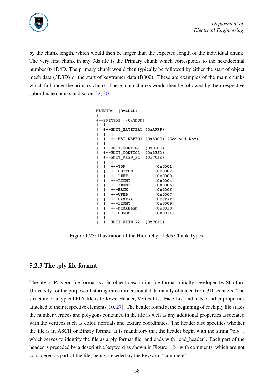

by the chunk length, which would then be larger than the expected length of the individual chunk. The very first chunk in any 3ds file is the Primary chunk which corresponds to the hexadecimal number 0x4D4D. The primary chunk would then typically be followed by either the start of object mesh data (3D3D) or the start of keyframer data (B000). These are examples of the main chunks which fall under the primary chunk. These main chunks would then be followed by their respective subordinate chunks and so on[\[32,](#page-55-1) [30\]](#page-54-10).

```
MAIN3DS (0x4D4D)
\mathbf{I}+--EDIT3DS (0x3D3D)
\mathbf{I}\blacksquare--EDIT MATERIAL (OxAFFF)
\mathbf{I}\overline{\phantom{a}}\blacksquare\blacksquare+--MAT NAMEO1 (OxA000) (See mli Doc)
\mathbf{I}\blacksquare\overline{1}+-- KDIT CONFIG1
                                      (0x0100)\overline{\phantom{a}}+-EDIT\overline{COMFIG2}(0x3R3D)\mathbf{I}+--KDIT VIEW P1
                                       (0x7012)\mathbf{I}\mathbf{I}\blacksquare+--TOP(0x0001)-1
\mathbf{I}+--BOTTOM
                                               (0x0002)\overline{1}\mathbf{I}\overline{1}+--LEFT
                                               (0x0003)\mathbf{I}+--RIGHT(0x0004)\mathbf{I}-1
           +--FRONT
                                               (0x0005)\overline{1}Ī
           +--BACK
                                               (0x0006)\mathbf{I}\overline{1}\mathbf{I}\blacksquare+--<sub>USER</sub>(0x0007)+--CAMERA
                                               (0x FFFF)\overline{1}\overline{\phantom{a}}+--LICHT(0x0009)\mathbf{I}\blacksquare+--DISABLED
                                               (0x0010)\mathbf{I}\blacksquare\mathbf{I}\overline{1}+--BOGUS(0x0011)\overline{1}- 1
     +--EDIT VIEW P2
                                       (0x7011)
```
<span id="page-44-0"></span>Figure 1.23: Illustration of the Hierarchy of 3ds Chunk Types

#### 5.2.3 The .ply file format

The ply or Polygon file format is a 3d object description file format initially developed by Stanford University for the purpose of storing three dimensional data mainly obtained from 3D scanners. The structure of a typical PLY file is follows: Header, Vertex List, Face List and lists of other properties attached to their respective elements[\[10,](#page-53-7) [27\]](#page-54-11). The header found at the beginning of each ply file states the number vertices and polygons contained in the file as well as any additional properties associated with the vertices such as color, normals and texture coordinates. The header also specifies whether the file is in ASCII or Binary format. It is mandatory that the header begin with the string "ply" , which serves to identify the file as a ply format file, and ends with "end header". Each part of the header is preceded by a descriptive keyword as shown in Figure [1.24](#page-45-0) with comments, which are not considered as part of the file, being preceded by the keyword "comment".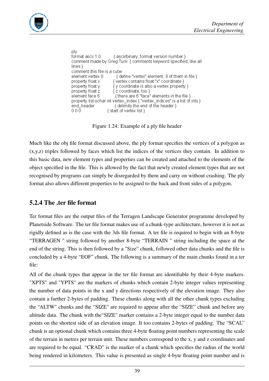

```
ply
format ascii 1.0
                         { ascii/binary, format version number }
comment made by Greg Turk { comments keyword specified, like all
lines}
comment this file is a cube
element vertex 8
                           { define "vertex" element, 8 of them in file }
property float x
                         { vertex contains float "x" coordinate }
property float y
                         \sqrt{y} coordinate is also a vertex property }
property float z
                         {z coordinate, too }
element face 6 {there are 6 "face" elements in the file }<br>property list uchar int vertex_index { "vertex_indices" is a list of ints }
end_header
                          { delimits the end of the header }
000{ start of vertex list }
```
<span id="page-45-0"></span>Figure 1.24: Example of a ply file header

Much like the obj file format discussed above, the ply format specifies the vertices of a polygon as (x,y,z) triples followed by faces which list the indices of the vertices they contain. In addition to this basic data, new element types and properties can be created and attached to the elements of the object specified in the file. This is allowed by the fact that newly created element types that are not recognised by programs can simply be disregarded by them and carry on without crashing. The ply format also allows different properties to be assigned to the back and front sides of a polygon.

#### 5.2.4 The .ter file format

Ter format files are the output files of the Terragen Landscape Generator programme developed by Planetside Software. The ter file format makes use of a chunk-type architecture, however it is not as rigidly defined as is the case with the 3ds file format. A ter file is required to begin with an 8-byte "TERRAGEN " string followed by another 8-byte "TERRAIN " string including the space at the end of the string. This is then followed by a "Size" chunk, followed other data chunks and the file is concluded by a 4-byte "EOF" chunk. The following is a summary of the main chunks found in a ter file:

All of the chunk types that appear in the ter file format are identifiable by their 4-byte markers. "XPTS" and "YPTS" are the markers of chunks which contain 2-byte integer values representing the number of data points in the x and y directions respectively of the elevation image. They also contain a further 2-bytes of padding. These chunks along with all the other chunk types excluding the "ALTW" chunks and the "SIZE" are required to appear after the "SIZE" chunk and before any altitude data. The chunk with the"SIZE" marker contains a 2-byte integer equal to the number data points on the shortest side of an elevation image. It too contains 2-bytes of padding. The "SCAL" chunk is an optional chunk which contains three 4-byte floating point numbers representing the scale of the terrain in metres per terrain unit. These numbers correspond to the x, y and z coordinates and are required to be equal. "CRAD" is the marker of a chunk which specifies the radius of the world being rendered in kilometers. This value is presented as single 4-byte floating point number and is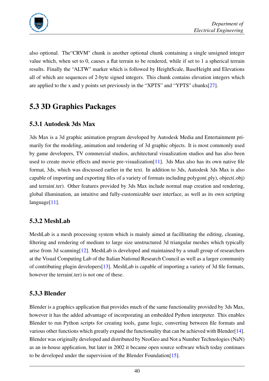

also optional. The"CRVM" chunk is another optional chunk containing a single unsigned integer value which, when set to 0, causes a flat terrain to be rendered, while if set to 1 a spherical terrain results. Finally the "ALTW" marker which is followed by HeightScale, BaseHeight and Elevations all of which are sequences of 2-byte signed integers. This chunk contains elevation integers which are applied to the x and y points set previously in the "XPTS" and "YPTS" chunks[\[27\]](#page-54-11).

### 5.3 3D Graphics Packages

#### 5.3.1 Autodesk 3ds Max

3ds Max is a 3d graphic animation program developed by Autodesk Media and Entertainment primarily for the modeling, animation and rendering of 3d graphic objects. It is most commonly used by game developers, TV commercial studios, architectural visualization studios and has also been used to create movie effects and movie pre-visualization[\[11\]](#page-53-8). 3ds Max also has its own native file format, 3ds, which was discussed earlier in the text. In addition to 3ds, Autodesk 3ds Max is also capable of importing and exporting files of a variety of formats including polygon(.ply), object(.obj) and terrain(.ter). Other features provided by 3ds Max include normal map creation and rendering, global illumination, an intuitive and fully-customizable user interface, as well as its own scripting language<sup>[\[11\]](#page-53-8)</sup>.

#### 5.3.2 MeshLab

MeshLab is a mesh processing system which is mainly aimed at facillitating the editing, cleaning, filtering and rendering of medium to large size unstructured 3d triangular meshes which typically arise from 3d scanning[\[12\]](#page-53-9). MeshLab is developed and maintained by a small group of researchers at the Visual Computing Lab of the Italian National Research Council as well as a larger community of contributing plugin developers[\[13\]](#page-53-10). MeshLab is capable of importing a variety of 3d file formats, however the terrain(.ter) is not one of these.

#### 5.3.3 Blender

Blender is a graphics application that provides much of the same functionality provided by 3ds Max, however it has the added advantage of incorporating an embedded Python interpreter. This enables Blender to run Python scripts for creating tools, game logic, converting between file formats and various other functions which greatly expand the functionality that can be achieved with Blender[\[14\]](#page-53-11). Blender was originally developed and distributed by NeoGeo and Not a Number Technologies (NaN) as an in-house application, but later in 2002 it became open source software which today continues to be developed under the supervision of the Blender Foundation[\[15\]](#page-53-12).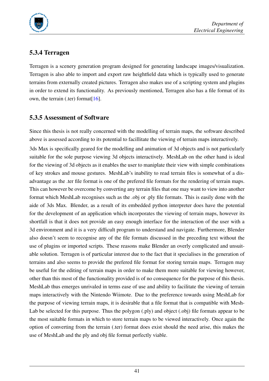

#### 5.3.4 Terragen

Terragen is a scenery generation program designed for generating landscape images/visualization. Terragen is also able to import and export raw heightfield data which is typically used to generate terrains from externally created pictures. Terragen also makes use of a scripting system and plugins in order to extend its functionality. As previously mentioned, Terragen also has a file format of its own, the terrain (.ter) format[ $16$ ].

#### 5.3.5 Assessment of Software

Since this thesis is not really concerned with the modelling of terrain maps, the software described above is assessed according to its potential to facillitate the viewing of terrain maps interactively. 3ds Max is specifically geared for the modelling and animation of 3d objects and is not particularly suitable for the sole purpose viewing 3d objects interactively. MeshLab on the other hand is ideal for the viewing of 3d objects as it enables the user to maniplate their view with simple combinations of key strokes and mouse gestures. MeshLab's inability to read terrain files is somewhat of a disadvantage as the .ter file format is one of the prefered file formats for the rendering of terrain maps. This can however be overcome by converting any terrain files that one may want to view into another format which MeshLab recognises such as the .obj or .ply file formats. This is easily done with the aide of 3ds Max. Blender, as a result of its embedded python interpreter does have the potential for the development of an application which incorporates the viewing of terrain maps, however its shortfall is that it does not provide an easy enough interface for the interaction of the user with a 3d environment and it is a very difficult program to understand and navigate. Furthermore, Blender also doesn't seem to recognise any of the file formats discussed in the preceding text without the use of plugins or imported scripts. These reasons make Blender an overly complicated and unsuitable solution. Terragen is of particular interest due to the fact that it specialises in the generation of terrains and also seems to provide the prefered file format for storing terrain maps. Terragen may be useful for the editing of terrain maps in order to make them more suitable for viewing however, other than this most of the functionality provided is of no consequence for the purpose of this thesis. MeshLab thus emerges unrivaled in terms ease of use and ability to facilitate the viewing of terrain maps interactively with the Nintendo Wiimote. Due to the preference towards using MeshLab for the purpose of viewing terrain maps, it is desirable that a file format that is compatible with Mesh-Lab be selected for this purpose. Thus the polygon (.ply) and object (.obj) file formats appear to be the most suitable formats in which to store terrain maps to be viewed interactively. Once again the option of converting from the terrain (.ter) format does exist should the need arise, this makes the use of MeshLab and the ply and obj file format perfectly viable.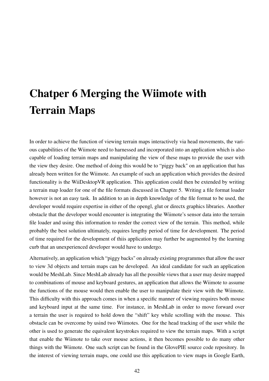# Chatper 6 Merging the Wiimote with Terrain Maps

In order to achieve the function of viewing terrain maps interactively via head movements, the various capabilities of the Wiimote need to harnessed and incorporated into an application which is also capable of loading terrain maps and manipulating the view of these maps to provide the user with the view they desire. One method of doing this would be to "piggy back" on an application that has already been written for the Wiimote. An example of such an application which provides the desired functionality is the WiiDesktopVR application. This application could then be extended by writing a terrain map loader for one of the file formats discussed in Chapter 5. Writing a file format loader however is not an easy task. In addition to an in depth knowledge of the file format to be used, the developer would require expertise in either of the opengl, glut or directx graphics libraries. Another obstacle that the developer would encounter is integrating the Wiimote's sensor data into the terrain file loader and using this information to render the correct view of the terrain. This method, while probably the best solution ultimately, requires lengthy period of time for development. The period of time required for the development of thiis application may further be augmented by the learning curb that an unexperienced developer would have to undergo.

Alternatively, an application which "piggy backs" on already existing programmes that allow the user to view 3d objects and terrain maps can be developed. An ideal candidate for such an application would be MeshLab. Since MeshLab already has all the possible views that a user may desire mapped to combinations of mouse and keyboard gestures, an application that allows the Wiimote to assume the functions of the mouse would then enable the user to manipulate their view with the Wiimote. This difficulty with this approach comes in when a specific manner of viewing requires both mouse and keyboard input at the same time. For instance, in MeshLab in order to move forward over a terrain the user is required to hold down the "shift" key while scrolling with the mouse. This obstacle can be overcome by usind two Wiimotes. One for the head tracking of the user while the other is used to generate the equivalent keystrokes required to view the terrain maps. With a script that enable the Wiimote to take over mouse actions, it then becomes possible to do many other things with the Wiimote. One such script can be found in the GlovePIE source code repository. In the interest of viewing terrain maps, one could use this application to view maps in Google Earth,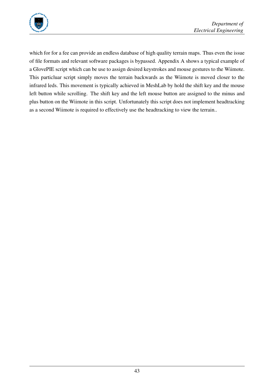

which for for a fee can provide an endless database of high quality terrain maps. Thus even the issue of file formats and relevant software packages is bypassed. Appendix A shows a typical example of a GlovePIE script which can be use to assign desired keystrokes and mouse gestures to the Wiimote. This particluar script simply moves the terrain backwards as the Wiimote is moved closer to the infrared leds. This movement is typically achieved in MeshLab by hold the shift key and the mouse left button while scrolling. The shift key and the left mouse button are assigned to the minus and plus button on the Wiimote in this script. Unfortunately this script does not implement headtracking as a second Wiimote is required to effectively use the headtracking to view the terrain..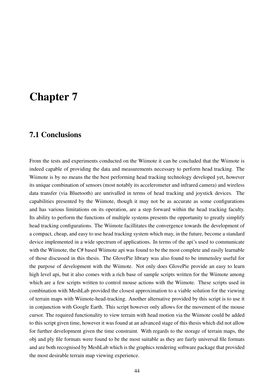# Chapter 7

#### 7.1 Conclusions

From the tests and experiments conducted on the Wiimote it can be concluded that the Wiimote is indeed capable of providing the data and measurements necessary to perform head tracking. The Wiimote is by no means the the best performing head tracking technology developed yet, however its unique combination of sensors (most notably its accelerometer and infrared camera) and wireless data transfer (via Bluetooth) are unrivalled in terms of head tracking and joystick devices. The capabilities presented by the Wiimote, though it may not be as accurate as some configurations and has various limitations on its operation, are a step forward within the head tracking faculty. Its ability to perform the functions of multiple systems presents the opportunity to greatly simplify head tracking configurations. The Wiimote facillitates the convergence towards the development of a compact, cheap, and easy to use head tracking system which may, in the future, become a standard device implemented in a wide spectrum of applications. In terms of the api's used to communicate with the Wiimote, the C# based Wiimote api was found to be the most complete and easily learnable of those discussed in this thesis. The GlovePie library was also found to be immensley useful for the purpose of development with the Wiimote. Not only does GlovePie provide an easy to learn high level api, but it also comes with a rich base of sample scripts written for the Wiimote among which are a few scripts written to control mouse actions with the Wiimote. These scripts used in combination with MeshLab provided the closest approximation to a viable solution for the viewing of terrain maps with Wiimote-head-tracking. Another alternative provided by this script is to use it in conjunction with Google Earth. This script however only allows for the movement of the mouse cursor. The required functionality to view terrain with head motion via the Wiimote could be added to this script given time, however it was found at an advanced stage of this thesis which did not allow for further development given the time constraint. With regards to the storage of terrain maps, the obj and ply file formats were found to be the most suitable as they are fairly universal file formats and are both recognised by MeshLab which is the graphics rendering software package that provided the most desirable terrain map viewing experience.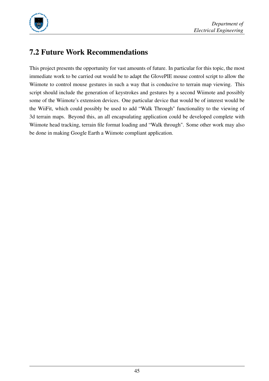

## 7.2 Future Work Recommendations

This project presents the opportunity for vast amounts of future. In particular for this topic, the most immediate work to be carried out would be to adapt the GlovePIE mouse control script to allow the Wiimote to control mouse gestures in such a way that is conducive to terrain map viewing. This script should include the generation of keystrokes and gestures by a second Wiimote and possibly some of the Wiimote's extension devices. One particular device that would be of interest would be the WiiFit, which could possibly be used to add "Walk Through" functionality to the viewing of 3d terrain maps. Beyond this, an all encapsulating application could be developed complete with Wiimote head tracking, terrain file format loading and "Walk through". Some other work may also be done in making Google Earth a Wiimote compliant application.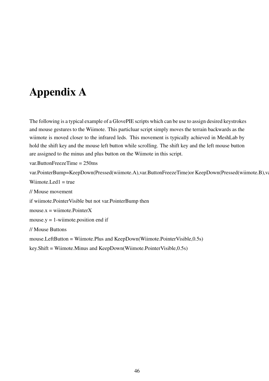# Appendix A

<span id="page-52-0"></span>The following is a typical example of a GlovePIE scripts which can be use to assign desired keystrokes and mouse gestures to the Wiimote. This particluar script simply moves the terrain backwards as the wiimote is moved closer to the infrared leds. This movement is typically achieved in MeshLab by hold the shift key and the mouse left button while scrolling. The shift key and the left mouse button are assigned to the minus and plus button on the Wiimote in this script.

var.ButtonFreezeTime = 250ms

var.PointerBump=KeepDown(Pressed(wiimote.A),var.ButtonFreezeTime)or KeepDown(Pressed(wiimote.B),va

Wiimote.Led $1$  = true

// Mouse movement

if wiimote.PointerVisible but not var.PointerBump then

 $mouse.x =$  wiimote. Pointer X

mouse.y  $= 1$ -wiimote.position end if

// Mouse Buttons

mouse.LeftButton = Wiimote.Plus and KeepDown(Wiimote.PointerVisible,0.5s)

key.Shift = Wiimote.Minus and KeepDown(Wiimote.PointerVisible,0.5s)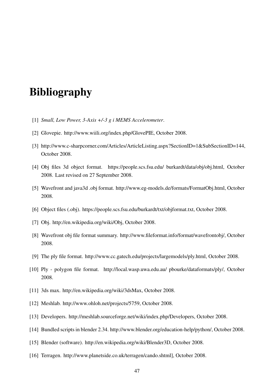# Bibliography

- <span id="page-53-0"></span>[1] *Small, Low Power, 3-Axis +/-3 g i MEMS Accelerometer*.
- <span id="page-53-1"></span>[2] Glovepie. http://www.wiili.org/index.php/GlovePIE, October 2008.
- [3] http://www.c-sharpcorner.com/Articles/ArticleListing.aspx?SectionID=1&SubSectionID=144, October 2008.
- <span id="page-53-5"></span>[4] Obj files 3d object format. https://people.scs.fsu.edu/ burkardt/data/obj/obj.html, October 2008. Last revised on 27 September 2008.
- <span id="page-53-6"></span>[5] Wavefront and java3d .obj format. http://www.eg-models.de/formats/FormatObj.html, October 2008.
- <span id="page-53-3"></span>[6] Object files (.obj). https://people.scs.fsu.edu/burkardt/txt/objformat.txt, October 2008.
- <span id="page-53-2"></span>[7] Obj. http://en.wikipedia.org/wiki/Obj, October 2008.
- <span id="page-53-4"></span>[8] Wavefront obj file format summary. http://www.fileformat.info/format/wavefrontobj/, October 2008.
- [9] The ply file format. http://www.cc.gatech.edu/projects/largemodels/ply.html, October 2008.
- <span id="page-53-7"></span>[10] Ply - polygon file format. http://local.wasp.uwa.edu.au/ pbourke/dataformats/ply/, October 2008.
- <span id="page-53-8"></span>[11] 3ds max. http://en.wikipedia.org/wiki/3dsMax, October 2008.
- <span id="page-53-9"></span>[12] Meshlab. http://www.ohloh.net/projects/5759, October 2008.
- <span id="page-53-10"></span>[13] Developers. http://meshlab.sourceforge.net/wiki/index.php/Developers, October 2008.
- <span id="page-53-11"></span>[14] Bundled scripts in blender 2.34. http://www.blender.org/education-help/python/, October 2008.
- <span id="page-53-12"></span>[15] Blender (software). http://en.wikipedia.org/wiki/Blender3D, October 2008.
- <span id="page-53-13"></span>[16] Terragen. http://www.planetside.co.uk/terragen/cando.shtml], October 2008.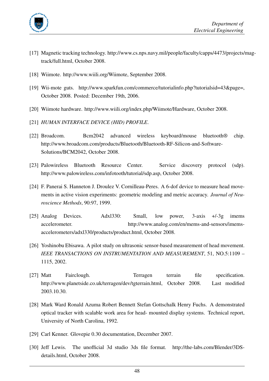

- <span id="page-54-1"></span>[17] Magnetic tracking technology. http://www.cs.nps.navy.mil/people/faculty/capps/4473/projects/magtrack/full.html, October 2008.
- <span id="page-54-2"></span>[18] Wiimote. http://www.wiili.org/Wiimote, September 2008.
- <span id="page-54-3"></span>[19] Wii-mote guts. http://www.sparkfun.com/commerce/tutorialinfo.php?tutorialsid=43&page=, October 2008. Posted: December 19th, 2006.
- <span id="page-54-4"></span>[20] Wiimote hardware. http://www.wiili.org/index.php/Wiimote/Hardware, October 2008.
- <span id="page-54-6"></span>[21] *HUMAN INTERFACE DEVICE (HID) PROFILE*.
- <span id="page-54-5"></span>[22] Broadcom. Bcm2042 advanced wireless keyboard/mouse bluetooth® chip. http://www.broadcom.com/products/Bluetooth/Bluetooth-RF-Silicon-and-Software-Solutions/BCM2042, October 2008.
- <span id="page-54-8"></span>[23] Palowireless Bluetooth Resource Center. Service discovery protocol (sdp). http://www.palowireless.com/infotooth/tutorial/sdp.asp, October 2008.
- [24] F. Panerai S. Hanneton J. Droulez V. Cornilleau-Peres. A 6-dof device to measure head movements in active vision experiments: geometric modeling and metric accuracy. *Journal of Neuroscience Methods*, 90:97, 1999.
- <span id="page-54-7"></span>[25] Analog Devices. Adxl330: Small, low power, 3-axis +/-3g imems accelerometer. http://www.analog.com/en/mems-and-sensors/imemsaccelerometers/adxl330/products/product.html, October 2008.
- [26] Yoshinobu Ebisawa. A pilot study on ultrasonic sensor-based measurement of head movement. *IEEE TRANSACTIONS ON INSTRUMENTATION AND MEASUREMENT*, 51, NO.5:1109 – 1115, 2002.
- <span id="page-54-11"></span>[27] Matt Fairclough. Terragen terrain file specification. http://www.planetside.co.uk/terragen/dev/tgterrain.html, October 2008. Last modified 2003.10.30.
- <span id="page-54-0"></span>[28] Mark Ward Ronald Azuma Robert Bennett Stefan Gottschalk Henry Fuchs. A demonstrated optical tracker with scalable work area for head- mounted display systems. Technical report, University of North Carolina, 1992.
- <span id="page-54-9"></span>[29] Carl Kenner. Glovepie 0.30 documentation, December 2007.
- <span id="page-54-10"></span>[30] Jeff Lewis. The unofficial 3d studio 3ds file format. http://the-labs.com/Blender/3DSdetails.html, October 2008.